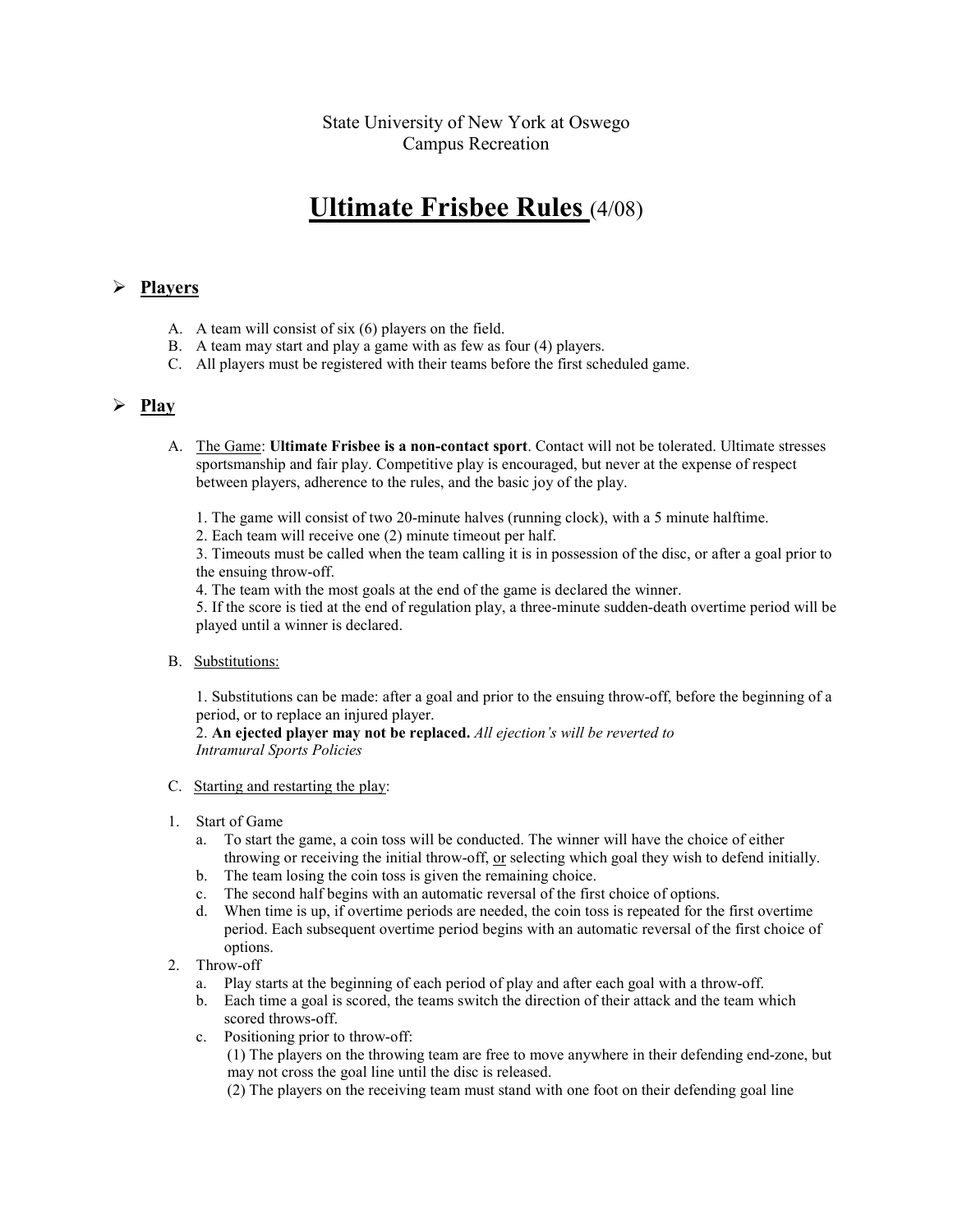## State University of New York at Oswego Campus Recreation

# Ultimate Frisbee Rules (4/08)

#### $\triangleright$  Players

- A. A team will consist of six (6) players on the field.
- B. A team may start and play a game with as few as four (4) players.
- C. All players must be registered with their teams before the first scheduled game.

### $\triangleright$  Play

- A. The Game: Ultimate Frisbee is a non-contact sport. Contact will not be tolerated. Ultimate stresses sportsmanship and fair play. Competitive play is encouraged, but never at the expense of respect between players, adherence to the rules, and the basic joy of the play.
	- 1. The game will consist of two 20-minute halves (running clock), with a 5 minute halftime.
	- 2. Each team will receive one (2) minute timeout per half.

3. Timeouts must be called when the team calling it is in possession of the disc, or after a goal prior to the ensuing throw-off.

4. The team with the most goals at the end of the game is declared the winner.

5. If the score is tied at the end of regulation play, a three-minute sudden-death overtime period will be played until a winner is declared.

B. Substitutions:

1. Substitutions can be made: after a goal and prior to the ensuing throw-off, before the beginning of a period, or to replace an injured player.

2. An ejected player may not be replaced. All ejection's will be reverted to Intramural Sports Policies

- C. Starting and restarting the play:
- 1. Start of Game
	- a. To start the game, a coin toss will be conducted. The winner will have the choice of either throwing or receiving the initial throw-off, or selecting which goal they wish to defend initially.
	- b. The team losing the coin toss is given the remaining choice.
	- c. The second half begins with an automatic reversal of the first choice of options.
	- d. When time is up, if overtime periods are needed, the coin toss is repeated for the first overtime period. Each subsequent overtime period begins with an automatic reversal of the first choice of options.
- 2. Throw-off
	- a. Play starts at the beginning of each period of play and after each goal with a throw-off.
	- b. Each time a goal is scored, the teams switch the direction of their attack and the team which scored throws-off.
	- c. Positioning prior to throw-off:

 (1) The players on the throwing team are free to move anywhere in their defending end-zone, but may not cross the goal line until the disc is released.

(2) The players on the receiving team must stand with one foot on their defending goal line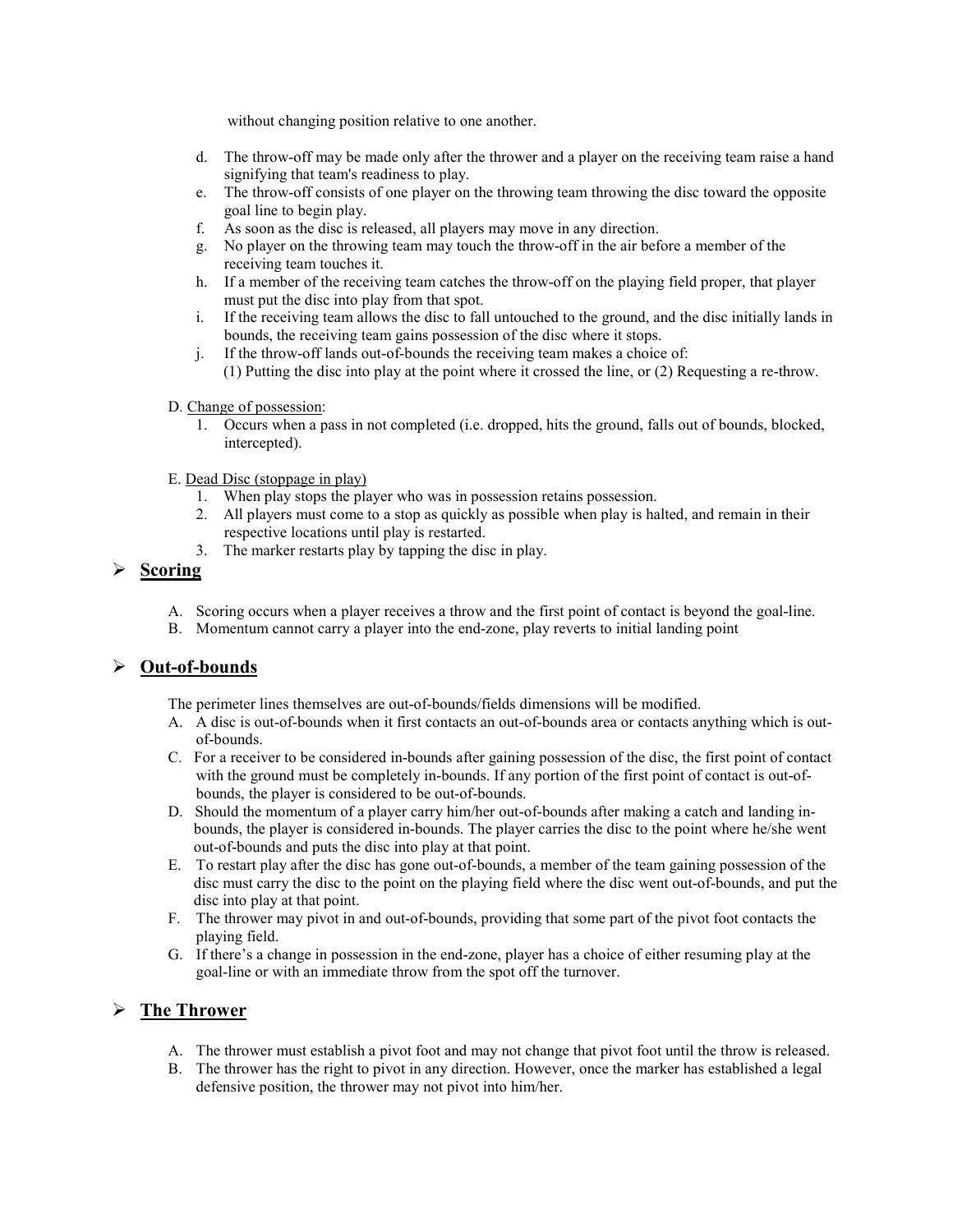without changing position relative to one another.

- d. The throw-off may be made only after the thrower and a player on the receiving team raise a hand signifying that team's readiness to play.
- e. The throw-off consists of one player on the throwing team throwing the disc toward the opposite goal line to begin play.
- f. As soon as the disc is released, all players may move in any direction.
- g. No player on the throwing team may touch the throw-off in the air before a member of the receiving team touches it.
- h. If a member of the receiving team catches the throw-off on the playing field proper, that player must put the disc into play from that spot.
- i. If the receiving team allows the disc to fall untouched to the ground, and the disc initially lands in bounds, the receiving team gains possession of the disc where it stops.
- j. If the throw-off lands out-of-bounds the receiving team makes a choice of:
	- (1) Putting the disc into play at the point where it crossed the line, or (2) Requesting a re-throw.

#### D. Change of possession:

- 1. Occurs when a pass in not completed (i.e. dropped, hits the ground, falls out of bounds, blocked, intercepted).
- E. Dead Disc (stoppage in play)
	- 1. When play stops the player who was in possession retains possession.
	- 2. All players must come to a stop as quickly as possible when play is halted, and remain in their respective locations until play is restarted.
	- 3. The marker restarts play by tapping the disc in play.

## Scoring

- A. Scoring occurs when a player receives a throw and the first point of contact is beyond the goal-line.
- B. Momentum cannot carry a player into the end-zone, play reverts to initial landing point

### Out-of-bounds

The perimeter lines themselves are out-of-bounds/fields dimensions will be modified.

- A. A disc is out-of-bounds when it first contacts an out-of-bounds area or contacts anything which is outof-bounds.
- C. For a receiver to be considered in-bounds after gaining possession of the disc, the first point of contact with the ground must be completely in-bounds. If any portion of the first point of contact is out-ofbounds, the player is considered to be out-of-bounds.
- D. Should the momentum of a player carry him/her out-of-bounds after making a catch and landing inbounds, the player is considered in-bounds. The player carries the disc to the point where he/she went out-of-bounds and puts the disc into play at that point.
- E. To restart play after the disc has gone out-of-bounds, a member of the team gaining possession of the disc must carry the disc to the point on the playing field where the disc went out-of-bounds, and put the disc into play at that point.
- F. The thrower may pivot in and out-of-bounds, providing that some part of the pivot foot contacts the playing field.
- G. If there's a change in possession in the end-zone, player has a choice of either resuming play at the goal-line or with an immediate throw from the spot off the turnover.

### $\triangleright$  The Thrower

- A. The thrower must establish a pivot foot and may not change that pivot foot until the throw is released.
- B. The thrower has the right to pivot in any direction. However, once the marker has established a legal defensive position, the thrower may not pivot into him/her.